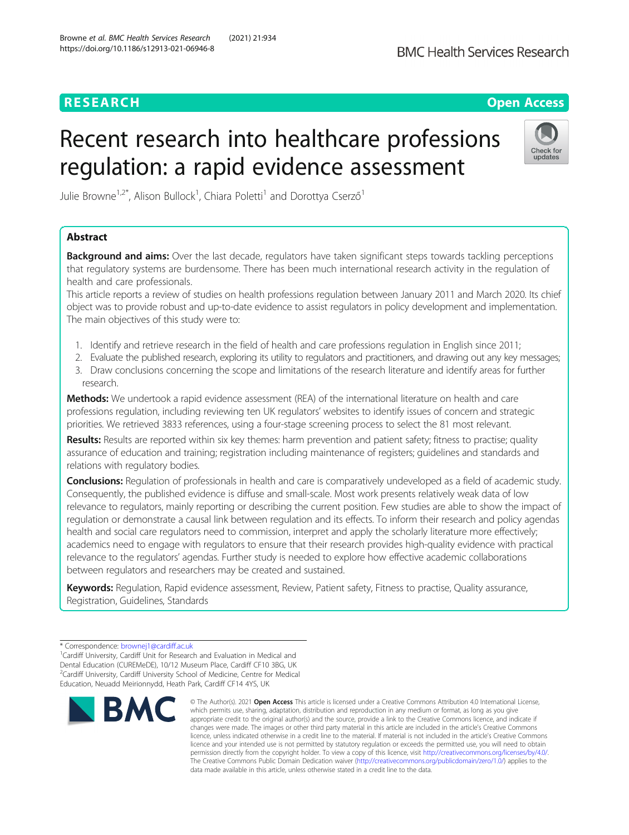## **RESEARCH CHEART CONTROL**

# Recent research into healthcare professions regulation: a rapid evidence assessment



Julie Browne<sup>1,2\*</sup>, Alison Bullock<sup>1</sup>, Chiara Poletti<sup>1</sup> and Dorottya Cserző<sup>1</sup>

### Abstract

**Background and aims:** Over the last decade, regulators have taken significant steps towards tackling perceptions that regulatory systems are burdensome. There has been much international research activity in the regulation of health and care professionals.

This article reports a review of studies on health professions regulation between January 2011 and March 2020. Its chief object was to provide robust and up-to-date evidence to assist regulators in policy development and implementation. The main objectives of this study were to:

- 1. Identify and retrieve research in the field of health and care professions regulation in English since 2011;
- 2. Evaluate the published research, exploring its utility to regulators and practitioners, and drawing out any key messages;
- 3. Draw conclusions concerning the scope and limitations of the research literature and identify areas for further research.

Methods: We undertook a rapid evidence assessment (REA) of the international literature on health and care professions regulation, including reviewing ten UK regulators' websites to identify issues of concern and strategic priorities. We retrieved 3833 references, using a four-stage screening process to select the 81 most relevant.

Results: Results are reported within six key themes: harm prevention and patient safety; fitness to practise; quality assurance of education and training; registration including maintenance of registers; guidelines and standards and relations with regulatory bodies.

Conclusions: Regulation of professionals in health and care is comparatively undeveloped as a field of academic study. Consequently, the published evidence is diffuse and small-scale. Most work presents relatively weak data of low relevance to regulators, mainly reporting or describing the current position. Few studies are able to show the impact of regulation or demonstrate a causal link between regulation and its effects. To inform their research and policy agendas health and social care regulators need to commission, interpret and apply the scholarly literature more effectively; academics need to engage with regulators to ensure that their research provides high-quality evidence with practical relevance to the regulators' agendas. Further study is needed to explore how effective academic collaborations between regulators and researchers may be created and sustained.

Keywords: Regulation, Rapid evidence assessment, Review, Patient safety, Fitness to practise, Quality assurance, Registration, Guidelines, Standards

 ${}^{1}$ Cardiff University, Cardiff Unit for Research and Evaluation in Medical and Dental Education (CUREMeDE), 10/12 Museum Place, Cardiff CF10 3BG, UK <sup>2</sup>Cardiff University, Cardiff University School of Medicine, Centre for Medical Education, Neuadd Meirionnydd, Heath Park, Cardiff CF14 4YS, UK



<sup>©</sup> The Author(s), 2021 **Open Access** This article is licensed under a Creative Commons Attribution 4.0 International License, which permits use, sharing, adaptation, distribution and reproduction in any medium or format, as long as you give appropriate credit to the original author(s) and the source, provide a link to the Creative Commons licence, and indicate if changes were made. The images or other third party material in this article are included in the article's Creative Commons licence, unless indicated otherwise in a credit line to the material. If material is not included in the article's Creative Commons licence and your intended use is not permitted by statutory regulation or exceeds the permitted use, you will need to obtain permission directly from the copyright holder. To view a copy of this licence, visit [http://creativecommons.org/licenses/by/4.0/.](http://creativecommons.org/licenses/by/4.0/) The Creative Commons Public Domain Dedication waiver [\(http://creativecommons.org/publicdomain/zero/1.0/](http://creativecommons.org/publicdomain/zero/1.0/)) applies to the data made available in this article, unless otherwise stated in a credit line to the data.

<sup>\*</sup> Correspondence: [brownej1@cardiff.ac.uk](mailto:brownej1@cardiff.ac.uk) <sup>1</sup>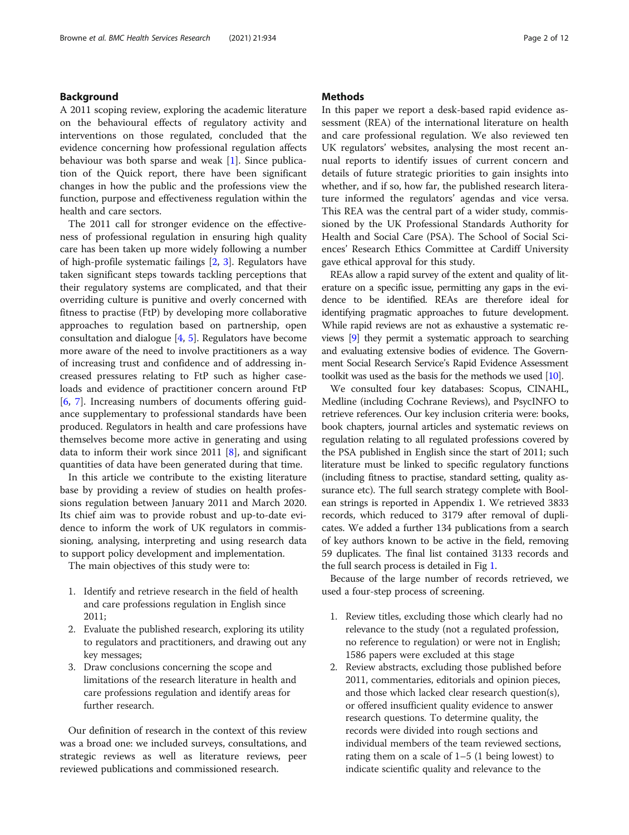#### Background

A 2011 scoping review, exploring the academic literature on the behavioural effects of regulatory activity and interventions on those regulated, concluded that the evidence concerning how professional regulation affects behaviour was both sparse and weak [[1\]](#page-8-0). Since publication of the Quick report, there have been significant changes in how the public and the professions view the function, purpose and effectiveness regulation within the health and care sectors.

The 2011 call for stronger evidence on the effectiveness of professional regulation in ensuring high quality care has been taken up more widely following a number of high-profile systematic failings [[2,](#page-8-0) [3](#page-8-0)]. Regulators have taken significant steps towards tackling perceptions that their regulatory systems are complicated, and that their overriding culture is punitive and overly concerned with fitness to practise (FtP) by developing more collaborative approaches to regulation based on partnership, open consultation and dialogue [\[4](#page-9-0), [5](#page-9-0)]. Regulators have become more aware of the need to involve practitioners as a way of increasing trust and confidence and of addressing increased pressures relating to FtP such as higher caseloads and evidence of practitioner concern around FtP [[6,](#page-9-0) [7](#page-9-0)]. Increasing numbers of documents offering guidance supplementary to professional standards have been produced. Regulators in health and care professions have themselves become more active in generating and using data to inform their work since 2011 [[8\]](#page-9-0), and significant quantities of data have been generated during that time.

In this article we contribute to the existing literature base by providing a review of studies on health professions regulation between January 2011 and March 2020. Its chief aim was to provide robust and up-to-date evidence to inform the work of UK regulators in commissioning, analysing, interpreting and using research data to support policy development and implementation.

The main objectives of this study were to:

- 1. Identify and retrieve research in the field of health and care professions regulation in English since 2011;
- 2. Evaluate the published research, exploring its utility to regulators and practitioners, and drawing out any key messages;
- 3. Draw conclusions concerning the scope and limitations of the research literature in health and care professions regulation and identify areas for further research.

Our definition of research in the context of this review was a broad one: we included surveys, consultations, and strategic reviews as well as literature reviews, peer reviewed publications and commissioned research.

#### **Methods**

In this paper we report a desk-based rapid evidence assessment (REA) of the international literature on health and care professional regulation. We also reviewed ten UK regulators' websites, analysing the most recent annual reports to identify issues of current concern and details of future strategic priorities to gain insights into whether, and if so, how far, the published research literature informed the regulators' agendas and vice versa. This REA was the central part of a wider study, commissioned by the UK Professional Standards Authority for Health and Social Care (PSA). The School of Social Sciences' Research Ethics Committee at Cardiff University gave ethical approval for this study.

REAs allow a rapid survey of the extent and quality of literature on a specific issue, permitting any gaps in the evidence to be identified. REAs are therefore ideal for identifying pragmatic approaches to future development. While rapid reviews are not as exhaustive a systematic reviews [\[9\]](#page-9-0) they permit a systematic approach to searching and evaluating extensive bodies of evidence. The Government Social Research Service's Rapid Evidence Assessment toolkit was used as the basis for the methods we used [\[10\]](#page-9-0).

We consulted four key databases: Scopus, CINAHL, Medline (including Cochrane Reviews), and PsycINFO to retrieve references. Our key inclusion criteria were: books, book chapters, journal articles and systematic reviews on regulation relating to all regulated professions covered by the PSA published in English since the start of 2011; such literature must be linked to specific regulatory functions (including fitness to practise, standard setting, quality assurance etc). The full search strategy complete with Boolean strings is reported in Appendix 1. We retrieved 3833 records, which reduced to 3179 after removal of duplicates. We added a further 134 publications from a search of key authors known to be active in the field, removing 59 duplicates. The final list contained 3133 records and the full search process is detailed in Fig [1.](#page-2-0)

Because of the large number of records retrieved, we used a four-step process of screening.

- 1. Review titles, excluding those which clearly had no relevance to the study (not a regulated profession, no reference to regulation) or were not in English; 1586 papers were excluded at this stage
- 2. Review abstracts, excluding those published before 2011, commentaries, editorials and opinion pieces, and those which lacked clear research question(s), or offered insufficient quality evidence to answer research questions. To determine quality, the records were divided into rough sections and individual members of the team reviewed sections, rating them on a scale of  $1-5$  (1 being lowest) to indicate scientific quality and relevance to the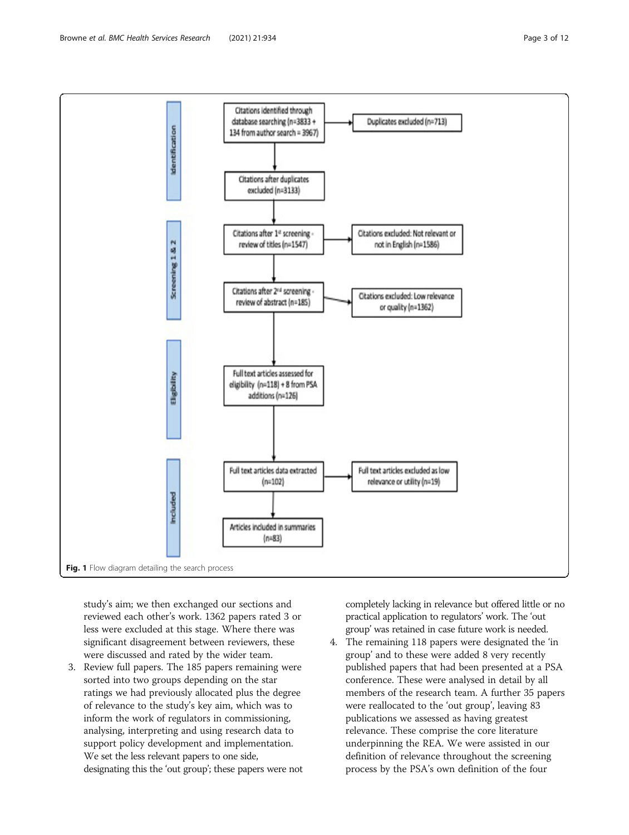<span id="page-2-0"></span>

study's aim; we then exchanged our sections and reviewed each other's work. 1362 papers rated 3 or less were excluded at this stage. Where there was significant disagreement between reviewers, these were discussed and rated by the wider team.

3. Review full papers. The 185 papers remaining were sorted into two groups depending on the star ratings we had previously allocated plus the degree of relevance to the study's key aim, which was to inform the work of regulators in commissioning, analysing, interpreting and using research data to support policy development and implementation. We set the less relevant papers to one side, designating this the 'out group'; these papers were not completely lacking in relevance but offered little or no practical application to regulators' work. The 'out group' was retained in case future work is needed.

4. The remaining 118 papers were designated the 'in group' and to these were added 8 very recently published papers that had been presented at a PSA conference. These were analysed in detail by all members of the research team. A further 35 papers were reallocated to the 'out group', leaving 83 publications we assessed as having greatest relevance. These comprise the core literature underpinning the REA. We were assisted in our definition of relevance throughout the screening process by the PSA's own definition of the four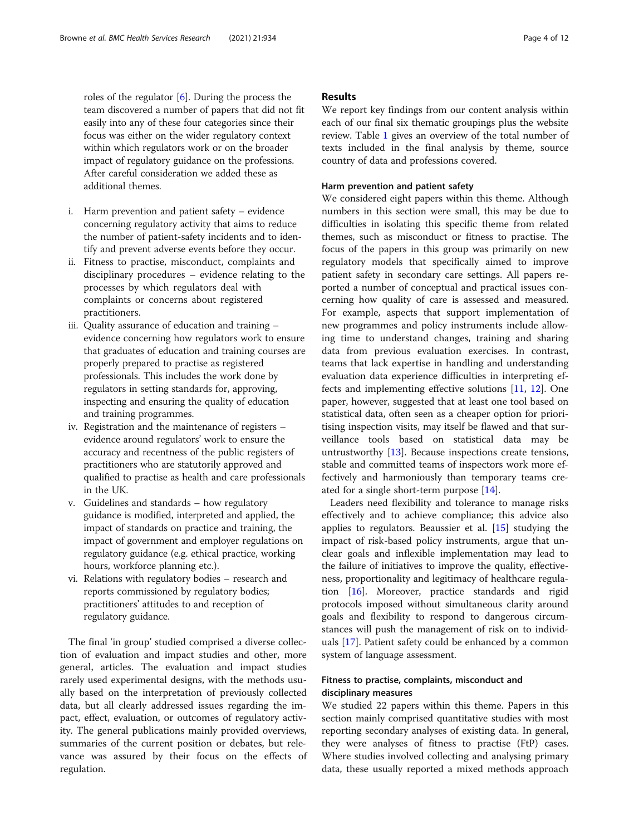roles of the regulator [\[6](#page-9-0)]. During the process the team discovered a number of papers that did not fit easily into any of these four categories since their focus was either on the wider regulatory context within which regulators work or on the broader impact of regulatory guidance on the professions. After careful consideration we added these as additional themes.

- i. Harm prevention and patient safety evidence concerning regulatory activity that aims to reduce the number of patient-safety incidents and to identify and prevent adverse events before they occur.
- ii. Fitness to practise, misconduct, complaints and disciplinary procedures – evidence relating to the processes by which regulators deal with complaints or concerns about registered practitioners.
- iii. Quality assurance of education and training evidence concerning how regulators work to ensure that graduates of education and training courses are properly prepared to practise as registered professionals. This includes the work done by regulators in setting standards for, approving, inspecting and ensuring the quality of education and training programmes.
- iv. Registration and the maintenance of registers evidence around regulators' work to ensure the accuracy and recentness of the public registers of practitioners who are statutorily approved and qualified to practise as health and care professionals in the UK.
- v. Guidelines and standards how regulatory guidance is modified, interpreted and applied, the impact of standards on practice and training, the impact of government and employer regulations on regulatory guidance (e.g. ethical practice, working hours, workforce planning etc.).
- vi. Relations with regulatory bodies research and reports commissioned by regulatory bodies; practitioners' attitudes to and reception of regulatory guidance.

The final 'in group' studied comprised a diverse collection of evaluation and impact studies and other, more general, articles. The evaluation and impact studies rarely used experimental designs, with the methods usually based on the interpretation of previously collected data, but all clearly addressed issues regarding the impact, effect, evaluation, or outcomes of regulatory activity. The general publications mainly provided overviews, summaries of the current position or debates, but relevance was assured by their focus on the effects of regulation.

#### Results

We report key findings from our content analysis within each of our final six thematic groupings plus the website review. Table [1](#page-4-0) gives an overview of the total number of texts included in the final analysis by theme, source country of data and professions covered.

#### Harm prevention and patient safety

We considered eight papers within this theme. Although numbers in this section were small, this may be due to difficulties in isolating this specific theme from related themes, such as misconduct or fitness to practise. The focus of the papers in this group was primarily on new regulatory models that specifically aimed to improve patient safety in secondary care settings. All papers reported a number of conceptual and practical issues concerning how quality of care is assessed and measured. For example, aspects that support implementation of new programmes and policy instruments include allowing time to understand changes, training and sharing data from previous evaluation exercises. In contrast, teams that lack expertise in handling and understanding evaluation data experience difficulties in interpreting effects and implementing effective solutions [[11,](#page-9-0) [12](#page-9-0)]. One paper, however, suggested that at least one tool based on statistical data, often seen as a cheaper option for prioritising inspection visits, may itself be flawed and that surveillance tools based on statistical data may be untrustworthy  $[13]$ . Because inspections create tensions, stable and committed teams of inspectors work more effectively and harmoniously than temporary teams created for a single short-term purpose [[14\]](#page-9-0).

Leaders need flexibility and tolerance to manage risks effectively and to achieve compliance; this advice also applies to regulators. Beaussier et al. [\[15\]](#page-9-0) studying the impact of risk-based policy instruments, argue that unclear goals and inflexible implementation may lead to the failure of initiatives to improve the quality, effectiveness, proportionality and legitimacy of healthcare regulation [[16\]](#page-9-0). Moreover, practice standards and rigid protocols imposed without simultaneous clarity around goals and flexibility to respond to dangerous circumstances will push the management of risk on to individuals [[17\]](#page-9-0). Patient safety could be enhanced by a common system of language assessment.

#### Fitness to practise, complaints, misconduct and disciplinary measures

We studied 22 papers within this theme. Papers in this section mainly comprised quantitative studies with most reporting secondary analyses of existing data. In general, they were analyses of fitness to practise (FtP) cases. Where studies involved collecting and analysing primary data, these usually reported a mixed methods approach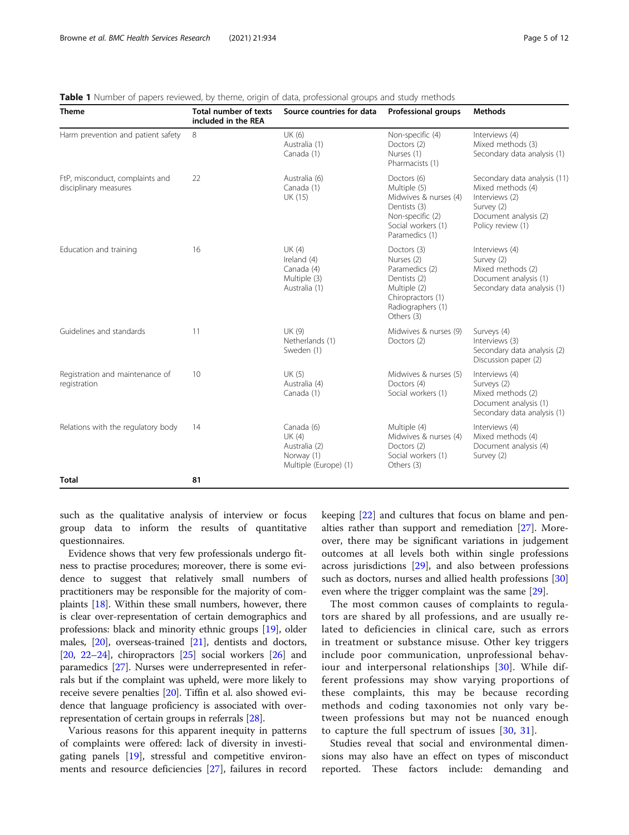| <b>Theme</b>                                             | <b>Total number of texts</b><br>included in the REA | Source countries for data                                                    | <b>Professional groups</b>                                                                                                          | <b>Methods</b>                                                                                                                  |
|----------------------------------------------------------|-----------------------------------------------------|------------------------------------------------------------------------------|-------------------------------------------------------------------------------------------------------------------------------------|---------------------------------------------------------------------------------------------------------------------------------|
| Harm prevention and patient safety                       | 8                                                   | UK (6)<br>Australia (1)<br>Canada (1)                                        | Non-specific (4)<br>Doctors (2)<br>Nurses (1)<br>Pharmacists (1)                                                                    | Interviews (4)<br>Mixed methods (3)<br>Secondary data analysis (1)                                                              |
| FtP, misconduct, complaints and<br>disciplinary measures | 22                                                  | Australia (6)<br>Canada (1)<br>UK (15)                                       | Doctors (6)<br>Multiple (5)<br>Midwives & nurses (4)<br>Dentists (3)<br>Non-specific (2)<br>Social workers (1)<br>Paramedics (1)    | Secondary data analysis (11)<br>Mixed methods (4)<br>Interviews (2)<br>Survey (2)<br>Document analysis (2)<br>Policy review (1) |
| Education and training                                   | 16                                                  | UK (4)<br>Ireland (4)<br>Canada (4)<br>Multiple (3)<br>Australia (1)         | Doctors (3)<br>Nurses (2)<br>Paramedics (2)<br>Dentists (2)<br>Multiple (2)<br>Chiropractors (1)<br>Radiographers (1)<br>Others (3) | Interviews (4)<br>Survey (2)<br>Mixed methods (2)<br>Document analysis (1)<br>Secondary data analysis (1)                       |
| Guidelines and standards                                 | 11                                                  | UK (9)<br>Netherlands (1)<br>Sweden (1)                                      | Midwives & nurses (9)<br>Doctors (2)                                                                                                | Surveys (4)<br>Interviews (3)<br>Secondary data analysis (2)<br>Discussion paper (2)                                            |
| Registration and maintenance of<br>registration          | 10                                                  | UK (5)<br>Australia (4)<br>Canada (1)                                        | Midwives & nurses (5)<br>Doctors (4)<br>Social workers (1)                                                                          | Interviews (4)<br>Surveys (2)<br>Mixed methods (2)<br>Document analysis (1)<br>Secondary data analysis (1)                      |
| Relations with the regulatory body                       | 14                                                  | Canada (6)<br>UK (4)<br>Australia (2)<br>Norway (1)<br>Multiple (Europe) (1) | Multiple (4)<br>Midwives & nurses (4)<br>Doctors (2)<br>Social workers (1)<br>Others (3)                                            | Interviews (4)<br>Mixed methods (4)<br>Document analysis (4)<br>Survey (2)                                                      |
| <b>Total</b>                                             | 81                                                  |                                                                              |                                                                                                                                     |                                                                                                                                 |

<span id="page-4-0"></span>Table 1 Number of papers reviewed, by theme, origin of data, professional groups and study methods

such as the qualitative analysis of interview or focus group data to inform the results of quantitative questionnaires.

Evidence shows that very few professionals undergo fitness to practise procedures; moreover, there is some evidence to suggest that relatively small numbers of practitioners may be responsible for the majority of complaints [\[18\]](#page-9-0). Within these small numbers, however, there is clear over-representation of certain demographics and professions: black and minority ethnic groups [\[19](#page-9-0)], older males, [[20](#page-9-0)], overseas-trained [[21\]](#page-9-0), dentists and doctors,  $[20, 22-24]$  $[20, 22-24]$  $[20, 22-24]$  $[20, 22-24]$  $[20, 22-24]$  $[20, 22-24]$ , chiropractors  $[25]$  social workers  $[26]$  and paramedics [\[27\]](#page-9-0). Nurses were underrepresented in referrals but if the complaint was upheld, were more likely to receive severe penalties [\[20\]](#page-9-0). Tiffin et al. also showed evidence that language proficiency is associated with overrepresentation of certain groups in referrals [\[28\]](#page-9-0).

Various reasons for this apparent inequity in patterns of complaints were offered: lack of diversity in investigating panels [[19\]](#page-9-0), stressful and competitive environments and resource deficiencies [[27](#page-9-0)], failures in record

keeping [\[22\]](#page-9-0) and cultures that focus on blame and penalties rather than support and remediation [\[27](#page-9-0)]. Moreover, there may be significant variations in judgement outcomes at all levels both within single professions across jurisdictions [\[29\]](#page-9-0), and also between professions such as doctors, nurses and allied health professions [[30](#page-9-0)] even where the trigger complaint was the same [\[29](#page-9-0)].

The most common causes of complaints to regulators are shared by all professions, and are usually related to deficiencies in clinical care, such as errors in treatment or substance misuse. Other key triggers include poor communication, unprofessional behaviour and interpersonal relationships [[30](#page-9-0)]. While different professions may show varying proportions of these complaints, this may be because recording methods and coding taxonomies not only vary between professions but may not be nuanced enough to capture the full spectrum of issues [\[30,](#page-9-0) [31](#page-9-0)].

Studies reveal that social and environmental dimensions may also have an effect on types of misconduct reported. These factors include: demanding and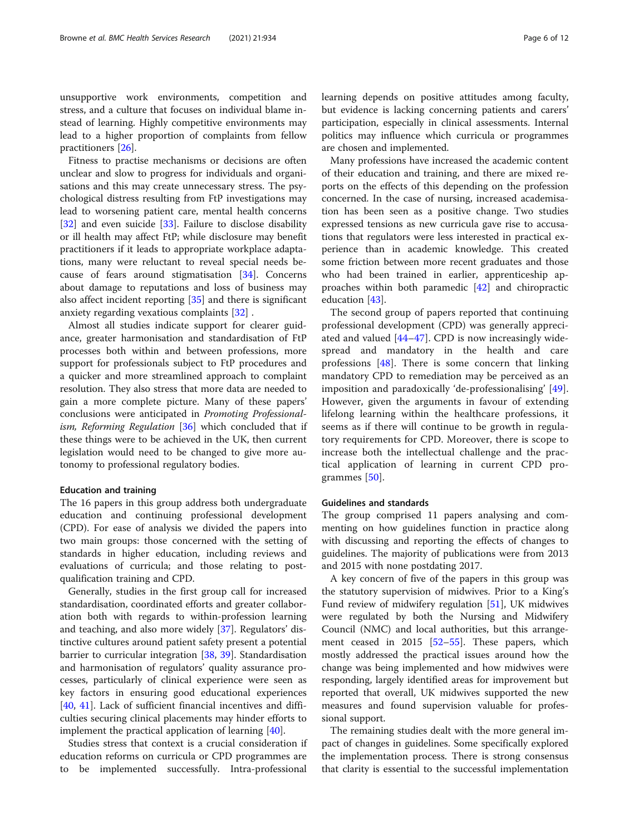unsupportive work environments, competition and stress, and a culture that focuses on individual blame instead of learning. Highly competitive environments may lead to a higher proportion of complaints from fellow practitioners [\[26](#page-9-0)].

Fitness to practise mechanisms or decisions are often unclear and slow to progress for individuals and organisations and this may create unnecessary stress. The psychological distress resulting from FtP investigations may lead to worsening patient care, mental health concerns [[32\]](#page-9-0) and even suicide [\[33](#page-9-0)]. Failure to disclose disability or ill health may affect FtP; while disclosure may benefit practitioners if it leads to appropriate workplace adaptations, many were reluctant to reveal special needs because of fears around stigmatisation [[34\]](#page-9-0). Concerns about damage to reputations and loss of business may also affect incident reporting [\[35\]](#page-9-0) and there is significant anxiety regarding vexatious complaints [\[32](#page-9-0)] .

Almost all studies indicate support for clearer guidance, greater harmonisation and standardisation of FtP processes both within and between professions, more support for professionals subject to FtP procedures and a quicker and more streamlined approach to complaint resolution. They also stress that more data are needed to gain a more complete picture. Many of these papers' conclusions were anticipated in Promoting Professional-ism, Reforming Regulation [[36\]](#page-9-0) which concluded that if these things were to be achieved in the UK, then current legislation would need to be changed to give more autonomy to professional regulatory bodies.

#### Education and training

The 16 papers in this group address both undergraduate education and continuing professional development (CPD). For ease of analysis we divided the papers into two main groups: those concerned with the setting of standards in higher education, including reviews and evaluations of curricula; and those relating to postqualification training and CPD.

Generally, studies in the first group call for increased standardisation, coordinated efforts and greater collaboration both with regards to within-profession learning and teaching, and also more widely [[37\]](#page-9-0). Regulators' distinctive cultures around patient safety present a potential barrier to curricular integration [\[38](#page-9-0), [39](#page-9-0)]. Standardisation and harmonisation of regulators' quality assurance processes, particularly of clinical experience were seen as key factors in ensuring good educational experiences [[40,](#page-10-0) [41](#page-10-0)]. Lack of sufficient financial incentives and difficulties securing clinical placements may hinder efforts to implement the practical application of learning [\[40](#page-10-0)].

Studies stress that context is a crucial consideration if education reforms on curricula or CPD programmes are to be implemented successfully. Intra-professional

learning depends on positive attitudes among faculty, but evidence is lacking concerning patients and carers' participation, especially in clinical assessments. Internal politics may influence which curricula or programmes are chosen and implemented.

Many professions have increased the academic content of their education and training, and there are mixed reports on the effects of this depending on the profession concerned. In the case of nursing, increased academisation has been seen as a positive change. Two studies expressed tensions as new curricula gave rise to accusations that regulators were less interested in practical experience than in academic knowledge. This created some friction between more recent graduates and those who had been trained in earlier, apprenticeship approaches within both paramedic [[42](#page-10-0)] and chiropractic education [[43\]](#page-10-0).

The second group of papers reported that continuing professional development (CPD) was generally appreciated and valued [\[44](#page-10-0)–[47](#page-10-0)]. CPD is now increasingly widespread and mandatory in the health and care professions [[48\]](#page-10-0). There is some concern that linking mandatory CPD to remediation may be perceived as an imposition and paradoxically 'de-professionalising' [\[49](#page-10-0)]. However, given the arguments in favour of extending lifelong learning within the healthcare professions, it seems as if there will continue to be growth in regulatory requirements for CPD. Moreover, there is scope to increase both the intellectual challenge and the practical application of learning in current CPD programmes [[50\]](#page-10-0).

#### Guidelines and standards

The group comprised 11 papers analysing and commenting on how guidelines function in practice along with discussing and reporting the effects of changes to guidelines. The majority of publications were from 2013 and 2015 with none postdating 2017.

A key concern of five of the papers in this group was the statutory supervision of midwives. Prior to a King's Fund review of midwifery regulation [\[51](#page-10-0)], UK midwives were regulated by both the Nursing and Midwifery Council (NMC) and local authorities, but this arrangement ceased in 2015 [[52](#page-10-0)–[55\]](#page-10-0). These papers, which mostly addressed the practical issues around how the change was being implemented and how midwives were responding, largely identified areas for improvement but reported that overall, UK midwives supported the new measures and found supervision valuable for professional support.

The remaining studies dealt with the more general impact of changes in guidelines. Some specifically explored the implementation process. There is strong consensus that clarity is essential to the successful implementation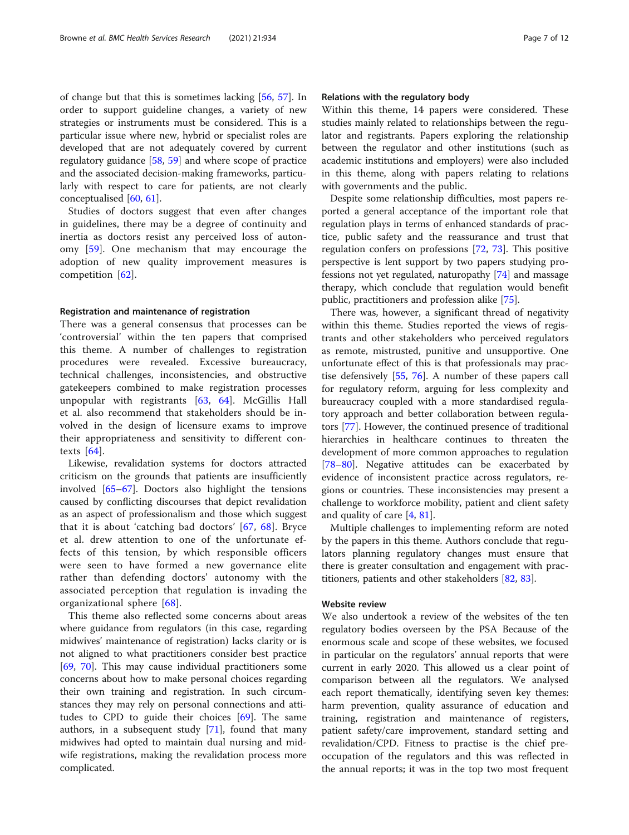of change but that this is sometimes lacking [[56,](#page-10-0) [57](#page-10-0)]. In order to support guideline changes, a variety of new strategies or instruments must be considered. This is a particular issue where new, hybrid or specialist roles are developed that are not adequately covered by current regulatory guidance [[58,](#page-10-0) [59\]](#page-10-0) and where scope of practice and the associated decision-making frameworks, particularly with respect to care for patients, are not clearly conceptualised [\[60,](#page-10-0) [61\]](#page-10-0).

Studies of doctors suggest that even after changes in guidelines, there may be a degree of continuity and inertia as doctors resist any perceived loss of autonomy [[59\]](#page-10-0). One mechanism that may encourage the adoption of new quality improvement measures is competition [\[62](#page-10-0)].

#### Registration and maintenance of registration

There was a general consensus that processes can be 'controversial' within the ten papers that comprised this theme. A number of challenges to registration procedures were revealed. Excessive bureaucracy, technical challenges, inconsistencies, and obstructive gatekeepers combined to make registration processes unpopular with registrants  $[63, 64]$  $[63, 64]$  $[63, 64]$  $[63, 64]$ . McGillis Hall et al. also recommend that stakeholders should be involved in the design of licensure exams to improve their appropriateness and sensitivity to different contexts [[64\]](#page-10-0).

Likewise, revalidation systems for doctors attracted criticism on the grounds that patients are insufficiently involved [[65](#page-10-0)–[67](#page-10-0)]. Doctors also highlight the tensions caused by conflicting discourses that depict revalidation as an aspect of professionalism and those which suggest that it is about 'catching bad doctors' [\[67](#page-10-0), [68](#page-10-0)]. Bryce et al. drew attention to one of the unfortunate effects of this tension, by which responsible officers were seen to have formed a new governance elite rather than defending doctors' autonomy with the associated perception that regulation is invading the organizational sphere [\[68](#page-10-0)].

This theme also reflected some concerns about areas where guidance from regulators (in this case, regarding midwives' maintenance of registration) lacks clarity or is not aligned to what practitioners consider best practice [[69,](#page-10-0) [70](#page-10-0)]. This may cause individual practitioners some concerns about how to make personal choices regarding their own training and registration. In such circumstances they may rely on personal connections and attitudes to CPD to guide their choices [\[69](#page-10-0)]. The same authors, in a subsequent study [\[71\]](#page-10-0), found that many midwives had opted to maintain dual nursing and midwife registrations, making the revalidation process more complicated.

#### Relations with the regulatory body

Within this theme, 14 papers were considered. These studies mainly related to relationships between the regulator and registrants. Papers exploring the relationship between the regulator and other institutions (such as academic institutions and employers) were also included in this theme, along with papers relating to relations with governments and the public.

Despite some relationship difficulties, most papers reported a general acceptance of the important role that regulation plays in terms of enhanced standards of practice, public safety and the reassurance and trust that regulation confers on professions [\[72](#page-10-0), [73](#page-10-0)]. This positive perspective is lent support by two papers studying professions not yet regulated, naturopathy [[74](#page-10-0)] and massage therapy, which conclude that regulation would benefit public, practitioners and profession alike [\[75](#page-10-0)].

There was, however, a significant thread of negativity within this theme. Studies reported the views of registrants and other stakeholders who perceived regulators as remote, mistrusted, punitive and unsupportive. One unfortunate effect of this is that professionals may practise defensively [\[55](#page-10-0), [76](#page-10-0)]. A number of these papers call for regulatory reform, arguing for less complexity and bureaucracy coupled with a more standardised regulatory approach and better collaboration between regulators [[77\]](#page-11-0). However, the continued presence of traditional hierarchies in healthcare continues to threaten the development of more common approaches to regulation [[78](#page-11-0)–[80](#page-11-0)]. Negative attitudes can be exacerbated by evidence of inconsistent practice across regulators, regions or countries. These inconsistencies may present a challenge to workforce mobility, patient and client safety and quality of care [\[4](#page-9-0), [81\]](#page-11-0).

Multiple challenges to implementing reform are noted by the papers in this theme. Authors conclude that regulators planning regulatory changes must ensure that there is greater consultation and engagement with practitioners, patients and other stakeholders [\[82,](#page-11-0) [83\]](#page-11-0).

#### Website review

We also undertook a review of the websites of the ten regulatory bodies overseen by the PSA Because of the enormous scale and scope of these websites, we focused in particular on the regulators' annual reports that were current in early 2020. This allowed us a clear point of comparison between all the regulators. We analysed each report thematically, identifying seven key themes: harm prevention, quality assurance of education and training, registration and maintenance of registers, patient safety/care improvement, standard setting and revalidation/CPD. Fitness to practise is the chief preoccupation of the regulators and this was reflected in the annual reports; it was in the top two most frequent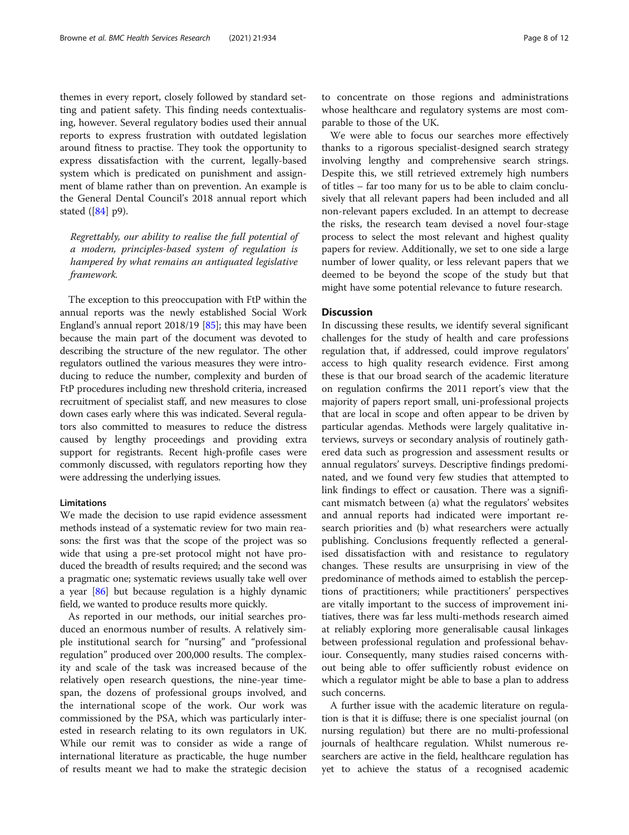themes in every report, closely followed by standard setting and patient safety. This finding needs contextualising, however. Several regulatory bodies used their annual reports to express frustration with outdated legislation around fitness to practise. They took the opportunity to express dissatisfaction with the current, legally-based system which is predicated on punishment and assignment of blame rather than on prevention. An example is the General Dental Council's 2018 annual report which stated ([\[84\]](#page-11-0) p9).

Regrettably, our ability to realise the full potential of a modern, principles-based system of regulation is hampered by what remains an antiquated legislative framework.

The exception to this preoccupation with FtP within the annual reports was the newly established Social Work England's annual report 2018/19 [[85](#page-11-0)]; this may have been because the main part of the document was devoted to describing the structure of the new regulator. The other regulators outlined the various measures they were introducing to reduce the number, complexity and burden of FtP procedures including new threshold criteria, increased recruitment of specialist staff, and new measures to close down cases early where this was indicated. Several regulators also committed to measures to reduce the distress caused by lengthy proceedings and providing extra support for registrants. Recent high-profile cases were commonly discussed, with regulators reporting how they were addressing the underlying issues.

#### Limitations

We made the decision to use rapid evidence assessment methods instead of a systematic review for two main reasons: the first was that the scope of the project was so wide that using a pre-set protocol might not have produced the breadth of results required; and the second was a pragmatic one; systematic reviews usually take well over a year [\[86\]](#page-11-0) but because regulation is a highly dynamic field, we wanted to produce results more quickly.

As reported in our methods, our initial searches produced an enormous number of results. A relatively simple institutional search for "nursing" and "professional regulation" produced over 200,000 results. The complexity and scale of the task was increased because of the relatively open research questions, the nine-year timespan, the dozens of professional groups involved, and the international scope of the work. Our work was commissioned by the PSA, which was particularly interested in research relating to its own regulators in UK. While our remit was to consider as wide a range of international literature as practicable, the huge number of results meant we had to make the strategic decision

to concentrate on those regions and administrations whose healthcare and regulatory systems are most comparable to those of the UK.

We were able to focus our searches more effectively thanks to a rigorous specialist-designed search strategy involving lengthy and comprehensive search strings. Despite this, we still retrieved extremely high numbers of titles – far too many for us to be able to claim conclusively that all relevant papers had been included and all non-relevant papers excluded. In an attempt to decrease the risks, the research team devised a novel four-stage process to select the most relevant and highest quality papers for review. Additionally, we set to one side a large number of lower quality, or less relevant papers that we deemed to be beyond the scope of the study but that might have some potential relevance to future research.

#### **Discussion**

In discussing these results, we identify several significant challenges for the study of health and care professions regulation that, if addressed, could improve regulators' access to high quality research evidence. First among these is that our broad search of the academic literature on regulation confirms the 2011 report's view that the majority of papers report small, uni-professional projects that are local in scope and often appear to be driven by particular agendas. Methods were largely qualitative interviews, surveys or secondary analysis of routinely gathered data such as progression and assessment results or annual regulators' surveys. Descriptive findings predominated, and we found very few studies that attempted to link findings to effect or causation. There was a significant mismatch between (a) what the regulators' websites and annual reports had indicated were important research priorities and (b) what researchers were actually publishing. Conclusions frequently reflected a generalised dissatisfaction with and resistance to regulatory changes. These results are unsurprising in view of the predominance of methods aimed to establish the perceptions of practitioners; while practitioners' perspectives are vitally important to the success of improvement initiatives, there was far less multi-methods research aimed at reliably exploring more generalisable causal linkages between professional regulation and professional behaviour. Consequently, many studies raised concerns without being able to offer sufficiently robust evidence on which a regulator might be able to base a plan to address such concerns.

A further issue with the academic literature on regulation is that it is diffuse; there is one specialist journal (on nursing regulation) but there are no multi-professional journals of healthcare regulation. Whilst numerous researchers are active in the field, healthcare regulation has yet to achieve the status of a recognised academic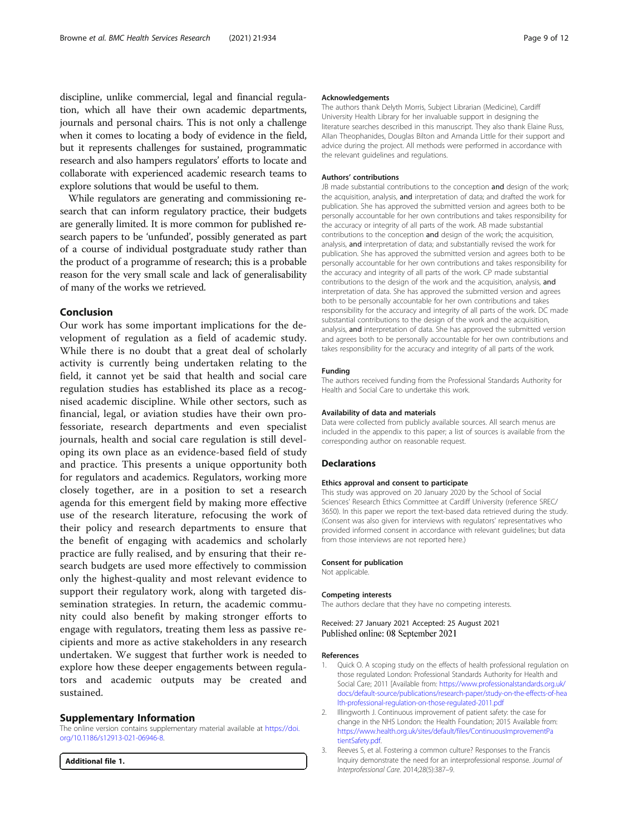<span id="page-8-0"></span>discipline, unlike commercial, legal and financial regulation, which all have their own academic departments, journals and personal chairs. This is not only a challenge when it comes to locating a body of evidence in the field, but it represents challenges for sustained, programmatic research and also hampers regulators' efforts to locate and collaborate with experienced academic research teams to explore solutions that would be useful to them.

While regulators are generating and commissioning research that can inform regulatory practice, their budgets are generally limited. It is more common for published research papers to be 'unfunded', possibly generated as part of a course of individual postgraduate study rather than the product of a programme of research; this is a probable reason for the very small scale and lack of generalisability of many of the works we retrieved.

#### Conclusion

Our work has some important implications for the development of regulation as a field of academic study. While there is no doubt that a great deal of scholarly activity is currently being undertaken relating to the field, it cannot yet be said that health and social care regulation studies has established its place as a recognised academic discipline. While other sectors, such as financial, legal, or aviation studies have their own professoriate, research departments and even specialist journals, health and social care regulation is still developing its own place as an evidence-based field of study and practice. This presents a unique opportunity both for regulators and academics. Regulators, working more closely together, are in a position to set a research agenda for this emergent field by making more effective use of the research literature, refocusing the work of their policy and research departments to ensure that the benefit of engaging with academics and scholarly practice are fully realised, and by ensuring that their research budgets are used more effectively to commission only the highest-quality and most relevant evidence to support their regulatory work, along with targeted dissemination strategies. In return, the academic community could also benefit by making stronger efforts to engage with regulators, treating them less as passive recipients and more as active stakeholders in any research undertaken. We suggest that further work is needed to explore how these deeper engagements between regulators and academic outputs may be created and sustained.

#### Supplementary Information

The online version contains supplementary material available at [https://doi.](https://doi.org/10.1186/s12913-021-06946-8) [org/10.1186/s12913-021-06946-8.](https://doi.org/10.1186/s12913-021-06946-8)

Additional file 1.

#### Acknowledgements

The authors thank Delyth Morris, Subject Librarian (Medicine), Cardiff University Health Library for her invaluable support in designing the literature searches described in this manuscript. They also thank Elaine Russ, Allan Theophanides, Douglas Bilton and Amanda Little for their support and advice during the project. All methods were performed in accordance with the relevant guidelines and regulations.

#### Authors' contributions

JB made substantial contributions to the conception and design of the work: the acquisition, analysis, and interpretation of data; and drafted the work for publication. She has approved the submitted version and agrees both to be personally accountable for her own contributions and takes responsibility for the accuracy or integrity of all parts of the work. AB made substantial contributions to the conception and design of the work; the acquisition, analysis, and interpretation of data; and substantially revised the work for publication. She has approved the submitted version and agrees both to be personally accountable for her own contributions and takes responsibility for the accuracy and integrity of all parts of the work. CP made substantial contributions to the design of the work and the acquisition, analysis, and interpretation of data. She has approved the submitted version and agrees both to be personally accountable for her own contributions and takes responsibility for the accuracy and integrity of all parts of the work. DC made substantial contributions to the design of the work and the acquisition, analysis, and interpretation of data. She has approved the submitted version and agrees both to be personally accountable for her own contributions and takes responsibility for the accuracy and integrity of all parts of the work.

#### Funding

The authors received funding from the Professional Standards Authority for Health and Social Care to undertake this work.

#### Availability of data and materials

Data were collected from publicly available sources. All search menus are included in the appendix to this paper; a list of sources is available from the corresponding author on reasonable request.

#### Declarations

#### Ethics approval and consent to participate

This study was approved on 20 January 2020 by the School of Social Sciences' Research Ethics Committee at Cardiff University (reference SREC/ 3650). In this paper we report the text-based data retrieved during the study. (Consent was also given for interviews with regulators' representatives who provided informed consent in accordance with relevant guidelines; but data from those interviews are not reported here.)

#### Consent for publication

Not applicable.

#### Competing interests

The authors declare that they have no competing interests.

Received: 27 January 2021 Accepted: 25 August 2021 Published online: 08 September 2021

#### References

- Quick O. A scoping study on the effects of health professional regulation on those regulated London: Professional Standards Authority for Health and Social Care; 2011 [Available from: [https://www.professionalstandards.org.uk/](https://www.professionalstandards.org.uk/docs/default-source/publications/research-paper/study-on-the-effects-of-health-professional-regulation-on-those-regulated-2011.pdf) [docs/default-source/publications/research-paper/study-on-the-effects-of-hea](https://www.professionalstandards.org.uk/docs/default-source/publications/research-paper/study-on-the-effects-of-health-professional-regulation-on-those-regulated-2011.pdf) [lth-professional-regulation-on-those-regulated-2011.pdf](https://www.professionalstandards.org.uk/docs/default-source/publications/research-paper/study-on-the-effects-of-health-professional-regulation-on-those-regulated-2011.pdf)
- 2. Illingworth J. Continuous improvement of patient safety: the case for change in the NHS London: the Health Foundation; 2015 Available from: [https://www.health.org.uk/sites/default/files/ContinuousImprovementPa](https://www.health.org.uk/sites/default/files/ContinuousImprovementPatientSafety.pdf) [tientSafety.pdf](https://www.health.org.uk/sites/default/files/ContinuousImprovementPatientSafety.pdf).
- 3. Reeves S, et al. Fostering a common culture? Responses to the Francis Inquiry demonstrate the need for an interprofessional response. Journal of Interprofessional Care. 2014;28(5):387–9.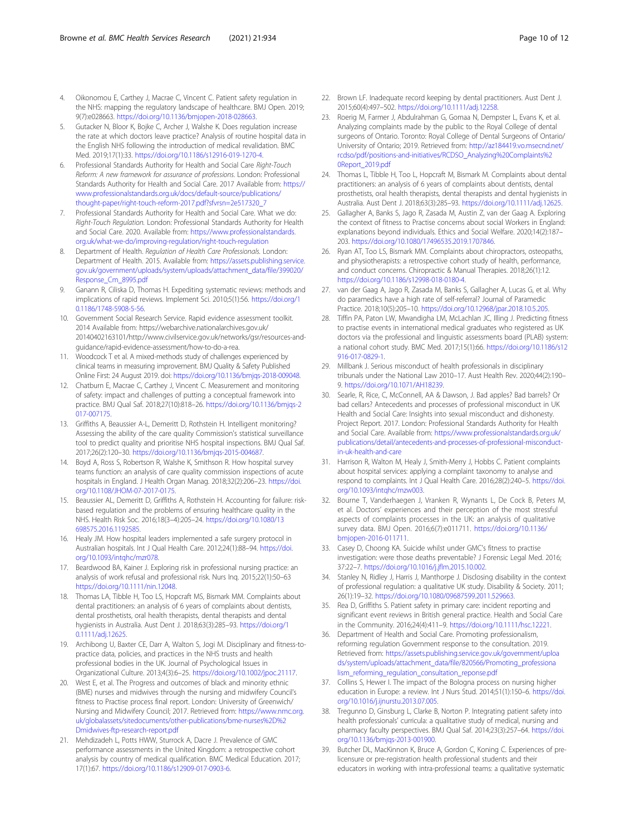- <span id="page-9-0"></span>4. Oikonomou E, Carthey J, Macrae C, Vincent C. Patient safety regulation in the NHS: mapping the regulatory landscape of healthcare. BMJ Open. 2019; 9(7):e028663. <https://doi.org/10.1136/bmjopen-2018-028663>.
- Gutacker N, Bloor K, Bojke C, Archer J, Walshe K. Does regulation increase the rate at which doctors leave practice? Analysis of routine hospital data in the English NHS following the introduction of medical revalidation. BMC Med. 2019;17(1):33. <https://doi.org/10.1186/s12916-019-1270-4>.
- Professional Standards Authority for Health and Social Care Right-Touch Reform: A new framework for assurance of professions. London: Professional Standards Authority for Health and Social Care. 2017 Available from: [https://](https://www.professionalstandards.org.uk/docs/default-source/publications/thought-paper/right-touch-reform-2017.pdf?sfvrsn=2e517320_7) [www.professionalstandards.org.uk/docs/default-source/publications/](https://www.professionalstandards.org.uk/docs/default-source/publications/thought-paper/right-touch-reform-2017.pdf?sfvrsn=2e517320_7) [thought-paper/right-touch-reform-2017.pdf?sfvrsn=2e517320\\_7](https://www.professionalstandards.org.uk/docs/default-source/publications/thought-paper/right-touch-reform-2017.pdf?sfvrsn=2e517320_7)
- 7. Professional Standards Authority for Health and Social Care. What we do: Right-Touch Regulation. London: Professional Standards Authority for Health and Social Care. 2020. Available from: [https://www.professionalstandards.](https://www.professionalstandards.org.uk/what-we-do/improving-regulation/right-touch-regulation) [org.uk/what-we-do/improving-regulation/right-touch-regulation](https://www.professionalstandards.org.uk/what-we-do/improving-regulation/right-touch-regulation)
- Department of Health. Regulation of Health Care Professionals. London: Department of Health. 2015. Available from: [https://assets.publishing.service.](https://assets.publishing.service.gov.uk/government/uploads/system/uploads/attachment_data/file/399020/Response_Cm_8995.pdf) [gov.uk/government/uploads/system/uploads/attachment\\_data/file/399020/](https://assets.publishing.service.gov.uk/government/uploads/system/uploads/attachment_data/file/399020/Response_Cm_8995.pdf) [Response\\_Cm\\_8995.pdf](https://assets.publishing.service.gov.uk/government/uploads/system/uploads/attachment_data/file/399020/Response_Cm_8995.pdf)
- Ganann R, Ciliska D, Thomas H. Expediting systematic reviews: methods and implications of rapid reviews. Implement Sci. 2010;5(1):56. [https://doi.org/1](https://doi.org/10.1186/1748-5908-5-56) [0.1186/1748-5908-5-56](https://doi.org/10.1186/1748-5908-5-56).
- 10. Government Social Research Service. Rapid evidence assessment toolkit. 2014 Available from: https://webarchive.nationalarchives.gov.uk/ 20140402163101/http://www.civilservice.gov.uk/networks/gsr/resources-andguidance/rapid-evidence-assessment/how-to-do-a-rea.
- 11. Woodcock T et al. A mixed-methods study of challenges experienced by clinical teams in measuring improvement. BMJ Quality & Safety Published Online First: 24 August 2019. doi: [https://doi.org/10.1136/bmjqs-2018-009048.](https://doi.org/10.1136/bmjqs-2018-009048)
- 12. Chatburn E, Macrae C, Carthey J, Vincent C. Measurement and monitoring of safety: impact and challenges of putting a conceptual framework into practice. BMJ Qual Saf. 2018;27(10):818–26. [https://doi.org/10.1136/bmjqs-2](https://doi.org/10.1136/bmjqs-2017-007175) [017-007175](https://doi.org/10.1136/bmjqs-2017-007175).
- 13. Griffiths A, Beaussier A-L, Demeritt D, Rothstein H. Intelligent monitoring? Assessing the ability of the care quality Commission's statistical surveillance tool to predict quality and prioritise NHS hospital inspections. BMJ Qual Saf. 2017;26(2):120–30. [https://doi.org/10.1136/bmjqs-2015-004687.](https://doi.org/10.1136/bmjqs-2015-004687)
- 14. Boyd A, Ross S, Robertson R, Walshe K, Smithson R. How hospital survey teams function: an analysis of care quality commission inspections of acute hospitals in England. J Health Organ Manag. 2018;32(2):206–23. [https://doi.](https://doi.org/10.1108/JHOM-07-2017-0175) [org/10.1108/JHOM-07-2017-0175](https://doi.org/10.1108/JHOM-07-2017-0175).
- 15. Beaussier AL, Demeritt D, Griffiths A, Rothstein H. Accounting for failure: riskbased regulation and the problems of ensuring healthcare quality in the NHS. Health Risk Soc. 2016;18(3–4):205–24. [https://doi.org/10.1080/13](https://doi.org/10.1080/13698575.2016.1192585) [698575.2016.1192585](https://doi.org/10.1080/13698575.2016.1192585).
- 16. Healy JM. How hospital leaders implemented a safe surgery protocol in Australian hospitals. Int J Qual Health Care. 2012;24(1):88–94. [https://doi.](https://doi.org/10.1093/intqhc/mzr078) [org/10.1093/intqhc/mzr078](https://doi.org/10.1093/intqhc/mzr078).
- 17. Beardwood BA, Kainer J. Exploring risk in professional nursing practice: an analysis of work refusal and professional risk. Nurs Inq. 2015;22(1):50–63 <https://doi.org/10.1111/nin.12048>.
- 18. Thomas LA, Tibble H, Too LS, Hopcraft MS, Bismark MM. Complaints about dental practitioners: an analysis of 6 years of complaints about dentists, dental prosthetists, oral health therapists, dental therapists and dental hygienists in Australia. Aust Dent J. 2018;63(3):285–93. [https://doi.org/1](https://doi.org/10.1111/adj.12625) [0.1111/adj.12625](https://doi.org/10.1111/adj.12625).
- 19. Archibong U, Baxter CE, Darr A, Walton S, Jogi M. Disciplinary and fitness-topractice data, policies, and practices in the NHS trusts and health professional bodies in the UK. Journal of Psychological Issues in Organizational Culture. 2013;4(3):6–25. <https://doi.org/10.1002/jpoc.21117>.
- 20. West E, et al. The Progress and outcomes of black and minority ethnic (BME) nurses and midwives through the nursing and midwifery Council's fitness to Practise process final report. London: University of Greenwich/ Nursing and Midwifery Council; 2017. Retrieved from: [https://www.nmc.org.](https://www.nmc.org.uk/globalassets/sitedocuments/other-publications/bme-nurses%2D%2Dmidwives-ftp-research-report.pdf) [uk/globalassets/sitedocuments/other-publications/bme-nurses%2D%2](https://www.nmc.org.uk/globalassets/sitedocuments/other-publications/bme-nurses%2D%2Dmidwives-ftp-research-report.pdf) [Dmidwives-ftp-research-report.pdf](https://www.nmc.org.uk/globalassets/sitedocuments/other-publications/bme-nurses%2D%2Dmidwives-ftp-research-report.pdf)
- 21. Mehdizadeh L, Potts HWW, Sturrock A, Dacre J. Prevalence of GMC performance assessments in the United Kingdom: a retrospective cohort analysis by country of medical qualification. BMC Medical Education. 2017; 17(1):67. <https://doi.org/10.1186/s12909-017-0903-6>.
- 22. Brown LF. Inadequate record keeping by dental practitioners. Aust Dent J. 2015;60(4):497–502. <https://doi.org/10.1111/adj.12258>.
- 23. Roerig M, Farmer J, Abdulrahman G, Gomaa N, Dempster L, Evans K, et al. Analyzing complaints made by the public to the Royal College of dental surgeons of Ontario. Toronto: Royal College of Dental Surgeons of Ontario/ University of Ontario; 2019. Retrieved from: [http://az184419.vo.msecnd.net/](http://az184419.vo.msecnd.net/rcdso/pdf/positions-and-initiatives/RCDSO_Analyzing%20Complaints%20Report_2019.pdf) [rcdso/pdf/positions-and-initiatives/RCDSO\\_Analyzing%20Complaints%2](http://az184419.vo.msecnd.net/rcdso/pdf/positions-and-initiatives/RCDSO_Analyzing%20Complaints%20Report_2019.pdf) [0Report\\_2019.pdf](http://az184419.vo.msecnd.net/rcdso/pdf/positions-and-initiatives/RCDSO_Analyzing%20Complaints%20Report_2019.pdf)
- 24. Thomas L, Tibble H, Too L, Hopcraft M, Bismark M. Complaints about dental practitioners: an analysis of 6 years of complaints about dentists, dental prosthetists, oral health therapists, dental therapists and dental hygienists in Australia. Aust Dent J. 2018;63(3):285–93. [https://doi.org/10.1111/adj.12625.](https://doi.org/10.1111/adj.12625)
- 25. Gallagher A, Banks S, Jago R, Zasada M, Austin Z, van der Gaag A. Exploring the context of fitness to Practise concerns about social Workers in England: explanations beyond individuals. Ethics and Social Welfare. 2020;14(2):187– 203. [https://doi.org/10.1080/17496535.2019.1707846.](https://doi.org/10.1080/17496535.2019.1707846)
- 26. Ryan AT, Too LS, Bismark MM. Complaints about chiropractors, osteopaths, and physiotherapists: a retrospective cohort study of health, performance, and conduct concerns. Chiropractic & Manual Therapies. 2018;26(1):12. <https://doi.org/10.1186/s12998-018-0180-4>.
- 27. van der Gaag A, Jago R, Zasada M, Banks S, Gallagher A, Lucas G, et al. Why do paramedics have a high rate of self-referral? Journal of Paramedic Practice. 2018;10(5):205–10. <https://doi.org/10.12968/jpar.2018.10.5.205>.
- 28. Tiffin PA, Paton LW, Mwandigha LM, McLachlan JC, Illing J. Predicting fitness to practise events in international medical graduates who registered as UK doctors via the professional and linguistic assessments board (PLAB) system: a national cohort study. BMC Med. 2017;15(1):66. [https://doi.org/10.1186/s12](https://doi.org/10.1186/s12916-017-0829-1) [916-017-0829-1.](https://doi.org/10.1186/s12916-017-0829-1)
- 29. Millbank J. Serious misconduct of health professionals in disciplinary tribunals under the National Law 2010–17. Aust Health Rev. 2020;44(2):190– 9. <https://doi.org/10.1071/AH18239>.
- 30. Searle, R, Rice, C, McConnell, AA & Dawson, J. Bad apples? Bad barrels? Or bad cellars? Antecedents and processes of professional misconduct in UK Health and Social Care: Insights into sexual misconduct and dishonesty. Project Report. 2017. London: Professional Standards Authority for Health and Social Care. Available from: [https://www.professionalstandards.org.uk/](https://www.professionalstandards.org.uk/publications/detail/antecedents-and-processes-of-professional-misconduct-in-uk-health-and-care) [publications/detail/antecedents-and-processes-of-professional-misconduct](https://www.professionalstandards.org.uk/publications/detail/antecedents-and-processes-of-professional-misconduct-in-uk-health-and-care)[in-uk-health-and-care](https://www.professionalstandards.org.uk/publications/detail/antecedents-and-processes-of-professional-misconduct-in-uk-health-and-care)
- 31. Harrison R, Walton M, Healy J, Smith-Merry J, Hobbs C. Patient complaints about hospital services: applying a complaint taxonomy to analyse and respond to complaints. Int J Qual Health Care. 2016;28(2):240–5. [https://doi.](https://doi.org/10.1093/intqhc/mzw003) [org/10.1093/intqhc/mzw003.](https://doi.org/10.1093/intqhc/mzw003)
- 32. Bourne T, Vanderhaegen J, Vranken R, Wynants L, De Cock B, Peters M, et al. Doctors' experiences and their perception of the most stressful aspects of complaints processes in the UK: an analysis of qualitative survey data. BMJ Open. 2016;6(7):e011711. [https://doi.org/10.1136/](https://doi.org/10.1136/bmjopen-2016-011711) [bmjopen-2016-011711.](https://doi.org/10.1136/bmjopen-2016-011711)
- 33. Casey D, Choong KA. Suicide whilst under GMC's fitness to practise investigation: were those deaths preventable? J Forensic Legal Med. 2016; 37:22–7. [https://doi.org/10.1016/j.jflm.2015.10.002.](https://doi.org/10.1016/j.jflm.2015.10.002)
- 34. Stanley N, Ridley J, Harris J, Manthorpe J. Disclosing disability in the context of professional regulation: a qualitative UK study. Disability & Society. 2011; 26(1):19–32. <https://doi.org/10.1080/09687599.2011.529663>.
- 35. Rea D, Griffiths S. Patient safety in primary care: incident reporting and significant event reviews in British general practice. Health and Social Care in the Community. 2016;24(4):411–9. <https://doi.org/10.1111/hsc.12221>.
- 36. Department of Health and Social Care. Promoting professionalism, reforming regulation Government response to the consultation. 2019. Retrieved from: [https://assets.publishing.service.gov.uk/government/uploa](https://assets.publishing.service.gov.uk/government/uploads/system/uploads/attachment_data/file/820566/Promoting_professionalism_reforming_regulation_consultation_reponse.pdf) [ds/system/uploads/attachment\\_data/file/820566/Promoting\\_professiona](https://assets.publishing.service.gov.uk/government/uploads/system/uploads/attachment_data/file/820566/Promoting_professionalism_reforming_regulation_consultation_reponse.pdf) [lism\\_reforming\\_regulation\\_consultation\\_reponse.pdf](https://assets.publishing.service.gov.uk/government/uploads/system/uploads/attachment_data/file/820566/Promoting_professionalism_reforming_regulation_consultation_reponse.pdf)
- 37. Collins S, Hewer I. The impact of the Bologna process on nursing higher education in Europe: a review. Int J Nurs Stud. 2014;51(1):150–6. [https://doi.](https://doi.org/10.1016/j.ijnurstu.2013.07.005) [org/10.1016/j.ijnurstu.2013.07.005.](https://doi.org/10.1016/j.ijnurstu.2013.07.005)
- 38. Tregunno D, Ginsburg L, Clarke B, Norton P. Integrating patient safety into health professionals' curricula: a qualitative study of medical, nursing and pharmacy faculty perspectives. BMJ Qual Saf. 2014;23(3):257–64. [https://doi.](https://doi.org/10.1136/bmjqs-2013-001900) [org/10.1136/bmjqs-2013-001900.](https://doi.org/10.1136/bmjqs-2013-001900)
- 39. Butcher DL, MacKinnon K, Bruce A, Gordon C, Koning C. Experiences of prelicensure or pre-registration health professional students and their educators in working with intra-professional teams: a qualitative systematic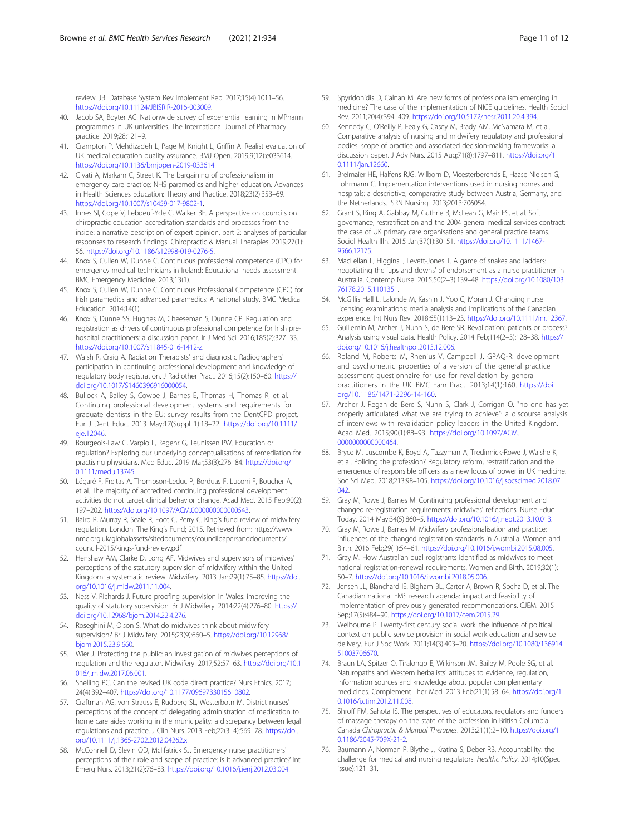<span id="page-10-0"></span>review. JBI Database System Rev Implement Rep. 2017;15(4):1011–56. [https://doi.org/10.11124/JBISRIR-2016-003009.](https://doi.org/10.11124/JBISRIR-2016-003009)

- 40. Jacob SA, Boyter AC. Nationwide survey of experiential learning in MPharm programmes in UK universities. The International Journal of Pharmacy practice. 2019;28:121–9.
- 41. Crampton P, Mehdizadeh L, Page M, Knight L, Griffin A. Realist evaluation of UK medical education quality assurance. BMJ Open. 2019;9(12):e033614. <https://doi.org/10.1136/bmjopen-2019-033614>.
- 42. Givati A, Markam C, Street K. The bargaining of professionalism in emergency care practice: NHS paramedics and higher education. Advances in Health Sciences Education: Theory and Practice. 2018;23(2):353–69. <https://doi.org/10.1007/s10459-017-9802-1>.
- 43. Innes SI, Cope V, Leboeuf-Yde C, Walker BF. A perspective on councils on chiropractic education accreditation standards and processes from the inside: a narrative description of expert opinion, part 2: analyses of particular responses to research findings. Chiropractic & Manual Therapies. 2019;27(1): 56. <https://doi.org/10.1186/s12998-019-0276-5>.
- 44. Knox S, Cullen W, Dunne C. Continuous professional competence (CPC) for emergency medical technicians in Ireland: Educational needs assessment. BMC Emergency Medicine. 2013;13(1).
- 45. Knox S, Cullen W, Dunne C. Continuous Professional Competence (CPC) for Irish paramedics and advanced paramedics: A national study. BMC Medical Education. 2014;14(1).
- 46. Knox S, Dunne SS, Hughes M, Cheeseman S, Dunne CP. Regulation and registration as drivers of continuous professional competence for Irish prehospital practitioners: a discussion paper. Ir J Med Sci. 2016;185(2):327–33. [https://doi.org/10.1007/s11845-016-1412-z.](https://doi.org/10.1007/s11845-016-1412-z)
- 47. Walsh R, Craig A. Radiation Therapists' and diagnostic Radiographers' participation in continuing professional development and knowledge of regulatory body registration. J Radiother Pract. 2016;15(2):150–60. [https://](https://doi.org/10.1017/S1460396916000054) [doi.org/10.1017/S1460396916000054](https://doi.org/10.1017/S1460396916000054).
- 48. Bullock A, Bailey S, Cowpe J, Barnes E, Thomas H, Thomas R, et al. Continuing professional development systems and requirements for graduate dentists in the EU: survey results from the DentCPD project. Eur J Dent Educ. 2013 May;17(Suppl 1):18–22. [https://doi.org/10.1111/](https://doi.org/10.1111/eje.12046) [eje.12046](https://doi.org/10.1111/eje.12046).
- 49. Bourgeois-Law G, Varpio L, Regehr G, Teunissen PW. Education or regulation? Exploring our underlying conceptualisations of remediation for practising physicians. Med Educ. 2019 Mar;53(3):276–84. [https://doi.org/1](https://doi.org/10.1111/medu.13745) [0.1111/medu.13745](https://doi.org/10.1111/medu.13745).
- 50. Légaré F, Freitas A, Thompson-Leduc P, Borduas F, Luconi F, Boucher A, et al. The majority of accredited continuing professional development activities do not target clinical behavior change. Acad Med. 2015 Feb;90(2): 197–202. [https://doi.org/10.1097/ACM.0000000000000543.](https://doi.org/10.1097/ACM.0000000000000543)
- 51. Baird R, Murray R, Seale R, Foot C, Perry C. King's fund review of midwifery regulation. London: The King's Fund; 2015. Retrieved from: https://www. nmc.org.uk/globalassets/sitedocuments/councilpapersanddocuments/ council-2015/kings-fund-review.pdf
- 52. Henshaw AM, Clarke D, Long AF. Midwives and supervisors of midwives' perceptions of the statutory supervision of midwifery within the United Kingdom: a systematic review. Midwifery. 2013 Jan;29(1):75–85. [https://doi.](https://doi.org/10.1016/j.midw.2011.11.004) [org/10.1016/j.midw.2011.11.004](https://doi.org/10.1016/j.midw.2011.11.004).
- 53. Ness V, Richards J. Future proofing supervision in Wales: improving the quality of statutory supervision. Br J Midwifery. 2014;22(4):276–80. [https://](https://doi.org/10.12968/bjom.2014.22.4.276) [doi.org/10.12968/bjom.2014.22.4.276](https://doi.org/10.12968/bjom.2014.22.4.276).
- 54. Roseghini M, Olson S. What do midwives think about midwifery supervision? Br J Midwifery. 2015;23(9):660–5. [https://doi.org/10.12968/](https://doi.org/10.12968/bjom.2015.23.9.660) [bjom.2015.23.9.660](https://doi.org/10.12968/bjom.2015.23.9.660).
- 55. Wier J. Protecting the public: an investigation of midwives perceptions of regulation and the regulator. Midwifery. 2017;52:57–63. [https://doi.org/10.1](https://doi.org/10.1016/j.midw.2017.06.001) [016/j.midw.2017.06.001.](https://doi.org/10.1016/j.midw.2017.06.001)
- 56. Snelling PC. Can the revised UK code direct practice? Nurs Ethics. 2017; 24(4):392–407. <https://doi.org/10.1177/0969733015610802>.
- 57. Craftman AG, von Strauss E, Rudberg SL, Westerbotn M. District nurses' perceptions of the concept of delegating administration of medication to home care aides working in the municipality: a discrepancy between legal regulations and practice. J Clin Nurs. 2013 Feb;22(3–4):569–78. [https://doi.](https://doi.org/10.1111/j.1365-2702.2012.04262.x) [org/10.1111/j.1365-2702.2012.04262.x](https://doi.org/10.1111/j.1365-2702.2012.04262.x).
- 58. McConnell D, Slevin OD, McIlfatrick SJ. Emergency nurse practitioners' perceptions of their role and scope of practice: is it advanced practice? Int Emerg Nurs. 2013;21(2):76–83. <https://doi.org/10.1016/j.ienj.2012.03.004>.
- 59. Spyridonidis D, Calnan M. Are new forms of professionalism emerging in medicine? The case of the implementation of NICE guidelines. Health Sociol Rev. 2011;20(4):394–409. <https://doi.org/10.5172/hesr.2011.20.4.394>.
- 60. Kennedy C, O'Reilly P, Fealy G, Casey M, Brady AM, McNamara M, et al. Comparative analysis of nursing and midwifery regulatory and professional bodies' scope of practice and associated decision-making frameworks: a discussion paper. J Adv Nurs. 2015 Aug;71(8):1797–811. [https://doi.org/1](https://doi.org/10.1111/jan.12660) [0.1111/jan.12660](https://doi.org/10.1111/jan.12660).
- 61. Breimaier HE, Halfens RJG, Wilborn D, Meesterberends E, Haase Nielsen G, Lohrmann C. Implementation interventions used in nursing homes and hospitals: a descriptive, comparative study between Austria, Germany, and the Netherlands. ISRN Nursing. 2013;2013:706054.
- 62. Grant S, Ring A, Gabbay M, Guthrie B, McLean G, Mair FS, et al. Soft governance, restratification and the 2004 general medical services contract: the case of UK primary care organisations and general practice teams. Sociol Health Illn. 2015 Jan;37(1):30–51. [https://doi.org/10.1111/1467-](https://doi.org/10.1111/1467-9566.12175) [9566.12175.](https://doi.org/10.1111/1467-9566.12175)
- 63. MacLellan L, Higgins I, Levett-Jones T. A game of snakes and ladders: negotiating the 'ups and downs' of endorsement as a nurse practitioner in Australia. Contemp Nurse. 2015;50(2–3):139–48. [https://doi.org/10.1080/103](https://doi.org/10.1080/10376178.2015.1101351) [76178.2015.1101351.](https://doi.org/10.1080/10376178.2015.1101351)
- 64. McGillis Hall L, Lalonde M, Kashin J, Yoo C, Moran J. Changing nurse licensing examinations: media analysis and implications of the Canadian experience. Int Nurs Rev. 2018;65(1):13–23. <https://doi.org/10.1111/inr.12367>.
- 65. Guillemin M, Archer J, Nunn S, de Bere SR. Revalidation: patients or process? Analysis using visual data. Health Policy. 2014 Feb;114(2–3):128–38. [https://](https://doi.org/10.1016/j.healthpol.2013.12.006) [doi.org/10.1016/j.healthpol.2013.12.006](https://doi.org/10.1016/j.healthpol.2013.12.006).
- 66. Roland M, Roberts M, Rhenius V, Campbell J. GPAQ-R: development and psychometric properties of a version of the general practice assessment questionnaire for use for revalidation by general practitioners in the UK. BMC Fam Pract. 2013;14(1):160. [https://doi.](https://doi.org/10.1186/1471-2296-14-160) [org/10.1186/1471-2296-14-160.](https://doi.org/10.1186/1471-2296-14-160)
- 67. Archer J. Regan de Bere S, Nunn S, Clark J, Corrigan O. "no one has yet properly articulated what we are trying to achieve": a discourse analysis of interviews with revalidation policy leaders in the United Kingdom. Acad Med. 2015;90(1):88–93. [https://doi.org/10.1097/ACM.](https://doi.org/10.1097/ACM.0000000000000464) [0000000000000464.](https://doi.org/10.1097/ACM.0000000000000464)
- 68. Bryce M, Luscombe K, Boyd A, Tazzyman A, Tredinnick-Rowe J, Walshe K, et al. Policing the profession? Regulatory reform, restratification and the emergence of responsible officers as a new locus of power in UK medicine. Soc Sci Med. 2018;213:98–105. [https://doi.org/10.1016/j.socscimed.2018.07.](https://doi.org/10.1016/j.socscimed.2018.07.042) [042.](https://doi.org/10.1016/j.socscimed.2018.07.042)
- 69. Gray M, Rowe J, Barnes M. Continuing professional development and changed re-registration requirements: midwives' reflections. Nurse Educ Today. 2014 May;34(5):860–5. <https://doi.org/10.1016/j.nedt.2013.10.013>.
- 70. Gray M, Rowe J, Barnes M. Midwifery professionalisation and practice: influences of the changed registration standards in Australia. Women and Birth. 2016 Feb;29(1):54–61. [https://doi.org/10.1016/j.wombi.2015.08.005.](https://doi.org/10.1016/j.wombi.2015.08.005)
- 71. Gray M. How Australian dual registrants identified as midwives to meet national registration-renewal requirements. Women and Birth. 2019;32(1): 50–7. <https://doi.org/10.1016/j.wombi.2018.05.006>.
- 72. Jensen JL, Blanchard IE, Bigham BL, Carter A, Brown R, Socha D, et al. The Canadian national EMS research agenda: impact and feasibility of implementation of previously generated recommendations. CJEM. 2015 Sep;17(5):484–90. [https://doi.org/10.1017/cem.2015.29.](https://doi.org/10.1017/cem.2015.29)
- 73. Welbourne P. Twenty-first century social work: the influence of political context on public service provision in social work education and service delivery. Eur J Soc Work. 2011;14(3):403–20. [https://doi.org/10.1080/136914](https://doi.org/10.1080/13691451003706670) [51003706670](https://doi.org/10.1080/13691451003706670).
- 74. Braun LA, Spitzer O, Tiralongo E, Wilkinson JM, Bailey M, Poole SG, et al. Naturopaths and Western herbalists' attitudes to evidence, regulation, information sources and knowledge about popular complementary medicines. Complement Ther Med. 2013 Feb;21(1):58–64. [https://doi.org/1](https://doi.org/10.1016/j.ctim.2012.11.008) [0.1016/j.ctim.2012.11.008.](https://doi.org/10.1016/j.ctim.2012.11.008)
- 75. Shroff FM, Sahota IS. The perspectives of educators, regulators and funders of massage therapy on the state of the profession in British Columbia. Canada Chiropractic & Manual Therapies. 2013;21(1):2–10. [https://doi.org/1](https://doi.org/10.1186/2045-709X-21-2) [0.1186/2045-709X-21-2.](https://doi.org/10.1186/2045-709X-21-2)
- 76. Baumann A, Norman P, Blythe J, Kratina S, Deber RB. Accountability: the challenge for medical and nursing regulators. Healthc Policy. 2014;10(Spec issue):121–31.